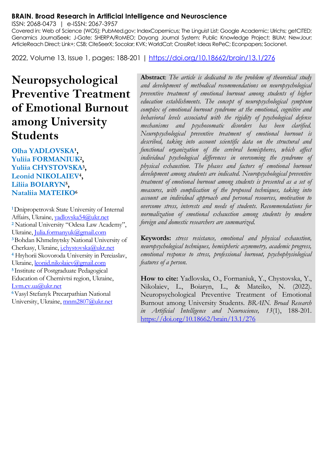#### **BRAIN. Broad Research in Artificial Intelligence and Neuroscience**

ISSN: 2068-0473 | e-ISSN: 2067-3957

Covered in: Web of Science (WOS); PubMed.gov; IndexCopernicus; The Linguist List; Google Academic; Ulrichs; getCITED; Genamics JournalSeek; J-Gate; SHERPA/RoMEO; Dayang Journal System; Public Knowledge Project; BIUM; NewJour; ArticleReach Direct; Link+; CSB; CiteSeerX; Socolar; KVK; WorldCat; CrossRef; Ideas RePeC; Econpapers; Socionet.

2022, Volume 13, Issue 1, pages: 188-201 |<https://doi.org/10.18662/brain/13.1/276>

# **Neuropsychological Preventive Treatment of Emotional Burnout among University Students**

**Olha YADLOVSKA<sup>1</sup>, Yuliia FORMANIUK<sup>2</sup> , Yuliia CHYSTOVSKA<sup>3</sup> , Leonid NIKOLAIEV<sup>4</sup> , Liliia BOIARYN<sup>5</sup> , Nataliia MATEIKO<sup>6</sup>**

**<sup>1</sup>**Dnipropetrovsk State University of Internal Affairs, Ukraine, vadlovska54@ukr.net **<sup>2</sup>** National University "Odesa Law Academy", Ukraine[, Julia.formanyuk@gmail.com](mailto:Julia.formanyuk@gmail.com)  **<sup>3</sup>**Bohdan Khmelnytsky National University of Cherkasy, Ukraine, [j.chystovska@ukr.net](mailto:j.chystovska@ukr.net)  **<sup>4</sup>** Hryhorii Skovoroda University in Pereiaslav, Ukraine, leonid.nikolaiev@gmail.com **<sup>5</sup>**Institute of Postgraduate Pedagogical Education of Chernivtsi region, Ukraine, [Lvm.cv.ua@ukr.net](mailto:Lvm.cv.ua@ukr.net)  **<sup>6</sup>**Vasyl Stefanyk Precarpathian National

University, Ukraine, mnm2807@ukr.net

**Abstract**: *The article is dedicated to the problem of theoretical study and development of methodical recommendations on neuropsychological preventive treatment of emotional burnout among students of higher education establishments. The concept of neuropsychological symptom complex of emotional burnout syndrome at the emotional, cognitive and behavioral levels associated with the rigidity of psychological defense mechanisms and psychosomatic disorders has been clarified. Neuropsychological preventive treatment of emotional burnout is described, taking into account scientific data on the structural and*  functional organization of the cerebral hemispheres, which affect *individual psychological differences in overcoming the syndrome of physical exhaustion. The phases and factors of emotional burnout development among students are indicated. Neuropsychological preventive treatment of emotional burnout among students is presented as a set of measures, with complication of the proposed techniques, taking into account an individual approach and personal resources, motivation to overcome stress, interests and needs of students. Recommendations for normalization of emotional exhaustion among students by modern foreign and domestic researchers are summarized.*

**Keywords:** *stress resistance, emotional and physical exhaustion, neuropsychological techniques, hemispheric asymmetry, academic progress, emotional response to stress, professional burnout, psychophysiological features of a person.*

**How to cite:** Yadlovska, O., Formaniuk, Y., Chystovska, Y., Nikolaiev, L., Boiaryn, L., & Mateiko, N. (2022). Neuropsychological Preventive Treatment of Emotional Burnout among University Students. *BRAIN. Broad Research in Artificial Intelligence and Neuroscience, 13*(1), 188-201. <https://doi.org/10.18662/brain/13.1/276>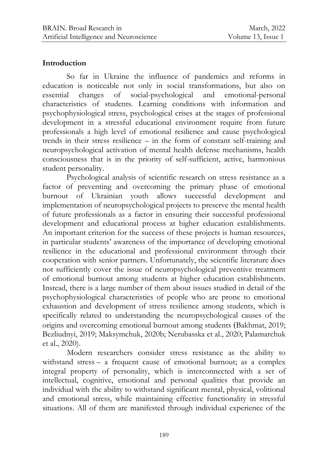#### **Introduction**

So far in Ukraine the influence of pandemics and reforms in education is noticeable not only in social transformations, but also on essential changes of social-psychological and emotional-personal characteristics of students. Learning conditions with information and psychophysiological stress, psychological crises at the stages of professional development in a stressful educational environment require from future professionals a high level of emotional resilience and cause psychological trends in their stress resilience – in the form of constant self-training and neuropsychological activation of mental health defense mechanisms, health consciousness that is in the priority of self-sufficient, active, harmonious student personality.

Psychological analysis of scientific research on stress resistance as a factor of preventing and overcoming the primary phase of emotional burnout of Ukrainian youth allows successful development and implementation of neuropsychological projects to preserve the mental health of future professionals as a factor in ensuring their successful professional development and educational process at higher education establishments. An important criterion for the success of these projects is human resources, in particular students' awareness of the importance of developing emotional resilience in the educational and professional environment through their cooperation with senior partners. Unfortunately, the scientific literature does not sufficiently cover the issue of neuropsychological preventive treatment of emotional burnout among students at higher education establishments. Instead, there is a large number of them about issues studied in detail of the psychophysiological characteristics of people who are prone to emotional exhaustion and development of stress resilience among students, which is specifically related to understanding the neuropsychological causes of the origins and overcoming emotional burnout among students (Bakhmat, 2019; Bezliudnyi, 2019; Maksymchuk, 2020b; Nerubasska et al., 2020; Palamarchuk et al., 2020).

Modern researchers consider stress resistance as the ability to withstand stress – a frequent cause of emotional burnout; as a complex integral property of personality, which is interconnected with a set of intellectual, cognitive, emotional and personal qualities that provide an individual with the ability to withstand significant mental, physical, volitional and emotional stress, while maintaining effective functionality in stressful situations. All of them are manifested through individual experience of the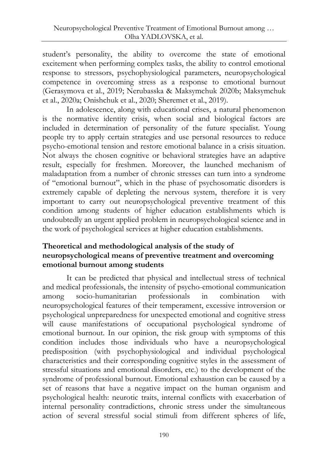student's personality, the ability to overcome the state of emotional excitement when performing complex tasks, the ability to control emotional response to stressors, psychophysiological parameters, neuropsychological competence in overcoming stress as a response to emotional burnout (Gerasymova et al., 2019; Nerubasska & Maksymchuk 2020b; Maksymchuk et al., 2020a; Onishchuk et al., 2020; Sheremet et al., 2019).

In adolescence, along with educational crises, a natural phenomenon is the normative identity crisis, when social and biological factors are included in determination of personality of the future specialist. Young people try to apply certain strategies and use personal resources to reduce psycho-emotional tension and restore emotional balance in a crisis situation. Not always the chosen cognitive or behavioral strategies have an adaptive result, especially for freshmen. Moreover, the launched mechanism of maladaptation from a number of chronic stresses can turn into a syndrome of "emotional burnout", which in the phase of psychosomatic disorders is extremely capable of depleting the nervous system, therefore it is very important to carry out neuropsychological preventive treatment of this condition among students of higher education establishments which is undoubtedly an urgent applied problem in neuropsychological science and in the work of psychological services at higher education establishments.

### **Theoretical and methodological analysis of the study of neuropsychological means of preventive treatment and overcoming emotional burnout among students**

It can be predicted that physical and intellectual stress of technical and medical professionals, the intensity of psycho-emotional communication among socio-humanitarian professionals in combination with neuropsychological features of their temperament, excessive introversion or psychological unpreparedness for unexpected emotional and cognitive stress will cause manifestations of occupational psychological syndrome of emotional burnout. In our opinion, the risk group with symptoms of this condition includes those individuals who have a neuropsychological predisposition (with psychophysiological and individual psychological characteristics and their corresponding cognitive styles in the assessment of stressful situations and emotional disorders, etc.) to the development of the syndrome of professional burnout. Emotional exhaustion can be caused by a set of reasons that have a negative impact on the human organism and psychological health: neurotic traits, internal conflicts with exacerbation of internal personality contradictions, chronic stress under the simultaneous action of several stressful social stimuli from different spheres of life,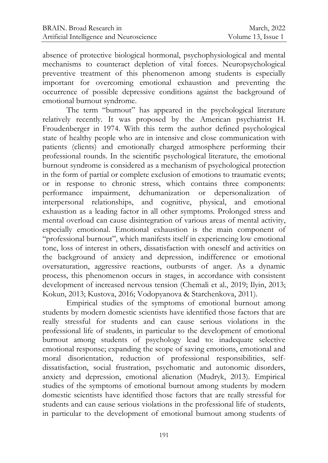absence of protective biological hormonal, psychophysiological and mental mechanisms to counteract depletion of vital forces. Neuropsychological preventive treatment of this phenomenon among students is especially important for overcoming emotional exhaustion and preventing the occurrence of possible depressive conditions against the background of emotional burnout syndrome.

The term "burnout" has appeared in the psychological literature relatively recently. It was proposed by the American psychiatrist H. Froudenberger in 1974. With this term the author defined psychological state of healthy people who are in intensive and close communication with patients (clients) and emotionally charged atmosphere performing their professional rounds. In the scientific psychological literature, the emotional burnout syndrome is considered as a mechanism of psychological protection in the form of partial or complete exclusion of emotions to traumatic events; or in response to chronic stress, which contains three components: performance impairment, dehumanization or depersonalization of interpersonal relationships, and cognitive, physical, and emotional exhaustion as a leading factor in all other symptoms. Prolonged stress and mental overload can cause disintegration of various areas of mental activity, especially emotional. Emotional exhaustion is the main component of "professional burnout", which manifests itself in experiencing low emotional tone, loss of interest in others, dissatisfaction with oneself and activities on the background of anxiety and depression, indifference or emotional oversaturation, aggressive reactions, outbursts of anger. As a dynamic process, this phenomenon occurs in stages, in accordance with consistent development of increased nervous tension (Chemali et al., 2019; Ilyin, 2013; Kokun, 2013; Kustova, 2016; Vodopyanova & Starchenkova, 2011).

Empirical studies of the symptoms of emotional burnout among students by modern domestic scientists have identified those factors that are really stressful for students and can cause serious violations in the professional life of students, in particular to the development of emotional burnout among students of psychology lead to: inadequate selective emotional response; expanding the scope of saving emotions, emotional and moral disorientation, reduction of professional responsibilities, selfdissatisfaction, social frustration, psychomatic and autonomic disorders, anxiety and depression, emotional alienation (Mudryk, 2013). Empirical studies of the symptoms of emotional burnout among students by modern domestic scientists have identified those factors that are really stressful for students and can cause serious violations in the professional life of students, in particular to the development of emotional burnout among students of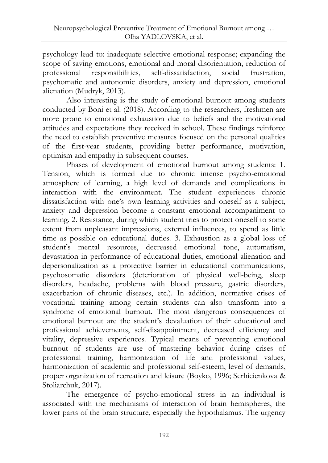psychology lead to: inadequate selective emotional response; expanding the scope of saving emotions, emotional and moral disorientation, reduction of professional responsibilities, self-dissatisfaction, social frustration, professional responsibilities, self-dissatisfaction, social frustration, psychomatic and autonomic disorders, anxiety and depression, emotional alienation (Mudryk, 2013).

Also interesting is the study of emotional burnout among students conducted by Boni et al. (2018). According to the researchers, freshmen are more prone to emotional exhaustion due to beliefs and the motivational attitudes and expectations they received in school. These findings reinforce the need to establish preventive measures focused on the personal qualities of the first-year students, providing better performance, motivation, optimism and empathy in subsequent courses.

Phases of development of emotional burnout among students: 1. Tension, which is formed due to chronic intense psycho-emotional atmosphere of learning, a high level of demands and complications in interaction with the environment. The student experiences chronic dissatisfaction with one's own learning activities and oneself as a subject, anxiety and depression become a constant emotional accompaniment to learning. 2. Resistance, during which student tries to protect oneself to some extent from unpleasant impressions, external influences, to spend as little time as possible on educational duties. 3. Exhaustion as a global loss of student's mental resources, decreased emotional tone, automatism, devastation in performance of educational duties, emotional alienation and depersonalization as a protective barrier in educational communications, psychosomatic disorders (deterioration of physical well-being, sleep disorders, headache, problems with blood pressure, gastric disorders, exacerbation of chronic diseases, etc.). In addition, normative crises of vocational training among certain students can also transform into a syndrome of emotional burnout. The most dangerous consequences of emotional burnout are the student's devaluation of their educational and professional achievements, self-disappointment, decreased efficiency and vitality, depressive experiences. Typical means of preventing emotional burnout of students are use of mastering behavior during crises of professional training, harmonization of life and professional values, harmonization of academic and professional self-esteem, level of demands, proper organization of recreation and leisure (Boyko, 1996; Serhieienkova & Stoliarchuk, 2017).

The emergence of psycho-emotional stress in an individual is associated with the mechanisms of interaction of brain hemispheres, the lower parts of the brain structure, especially the hypothalamus. The urgency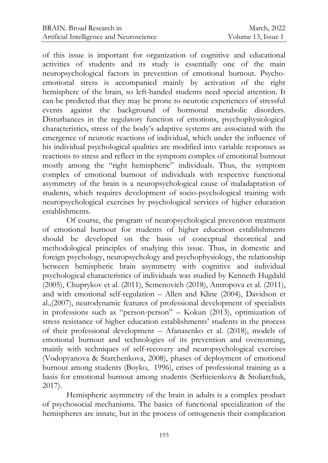of this issue is important for organization of cognitive and educational activities of students and its study is essentially one of the main neuropsychological factors in prevention of emotional burnout. Psychoemotional stress is accompanied mainly by activation of the right hemisphere of the brain, so left-handed students need special attention. It can be predicted that they may be prone to neurotic experiences of stressful events against the background of hormonal metabolic disorders. Disturbances in the regulatory function of emotions, psychophysiological characteristics, stress of the body's adaptive systems are associated with the emergence of neurotic reactions of individual, which under the influence of his individual psychological qualities are modified into variable responses as reactions to stress and reflect in the symptom complex of emotional burnout mostly among the "right hemispheric" individuals. Thus, the symptom complex of emotional burnout of individuals with respective functional asymmetry of the brain is a neuropsychological cause of maladaptation of students, which requires development of socio-psychological training with neuropsychological exercises by psychological services of higher education establishments.

Of course, the program of neuropsychological prevention treatment of emotional burnout for students of higher education establishments should be developed on the basis of conceptual theoretical and methodological principles of studying this issue. Thus, in domestic and foreign psychology, neuropsychology and psychophysiology, the relationship between hemispheric brain asymmetry with cognitive and individual psychological characteristics of individuals was studied by Kenneth Hugdahl (2005), Chuprykov et al. (2011), Semenovich (2018), Antropova et al. (2011), and with emotional self-regulation – Allen and Kline (2004), Davidson et al.,(2007), neurodynamic features of professional development of specialists in professions such as "person-person" – Kokun (2013), optimization of stress resistance of higher education establishments' students in the process of their professional development – Afanasenko et al. (2018), models of emotional burnout and technologies of its prevention and overcoming, mainly with techniques of self-recovery and neuropsychological exercises (Vodopyanova & Starchenkova, 2008), phases of deployment of emotional burnout among students (Boyko, 1996), crises of professional training as a basis for emotional burnout among students (Serhieienkova & Stoliarchuk, 2017).

Hemispheric asymmetry of the brain in adults is a complex product of psychosocial mechanisms. The basics of functional specialization of the hemispheres are innate, but in the process of ontogenesis their complication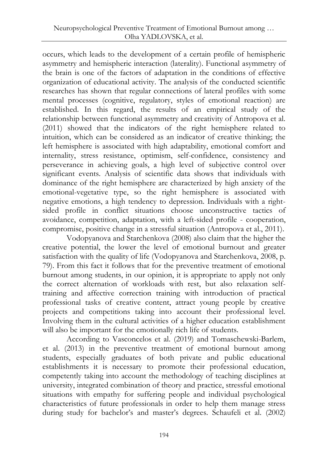occurs, which leads to the development of a certain profile of hemispheric asymmetry and hemispheric interaction (laterality). Functional asymmetry of the brain is one of the factors of adaptation in the conditions of effective organization of educational activity. The analysis of the conducted scientific researches has shown that regular connections of lateral profiles with some mental processes (cognitive, regulatory, styles of emotional reaction) are established. In this regard, the results of an empirical study of the relationship between functional asymmetry and creativity of Antropova et al. (2011) showed that the indicators of the right hemisphere related to intuition, which can be considered as an indicator of creative thinking; the left hemisphere is associated with high adaptability, emotional comfort and internality, stress resistance, optimism, self-confidence, consistency and perseverance in achieving goals, a high level of subjective control over significant events. Analysis of scientific data shows that individuals with dominance of the right hemisphere are characterized by high anxiety of the emotional-vegetative type, so the right hemisphere is associated with negative emotions, a high tendency to depression. Individuals with a rightsided profile in conflict situations choose unconstructive tactics of avoidance, competition, adaptation, with a left-sided profile - cooperation, compromise, positive change in a stressful situation (Antropova et al., 2011).

Vodopyanova and Starchenkova (2008) also claim that the higher the creative potential, the lower the level of emotional burnout and greater satisfaction with the quality of life (Vodopyanova and Starchenkova, 2008, p. 79). From this fact it follows that for the preventive treatment of emotional burnout among students, in our opinion, it is appropriate to apply not only the correct alternation of workloads with rest, but also relaxation selftraining and affective correction training with introduction of practical professional tasks of creative content, attract young people by creative projects and competitions taking into account their professional level. Involving them in the cultural activities of a higher education establishment will also be important for the emotionally rich life of students.

According to Vasconcelos et al. (2019) and Tomaschewski-Barlem, et al. (2013) in the preventive treatment of emotional burnout among students, especially graduates of both private and public educational establishments it is necessary to promote their professional education, competently taking into account the methodology of teaching disciplines at university, integrated combination of theory and practice, stressful emotional situations with empathy for suffering people and individual psychological characteristics of future professionals in order to help them manage stress during study for bachelor's and master's degrees. Schaufeli et al. (2002)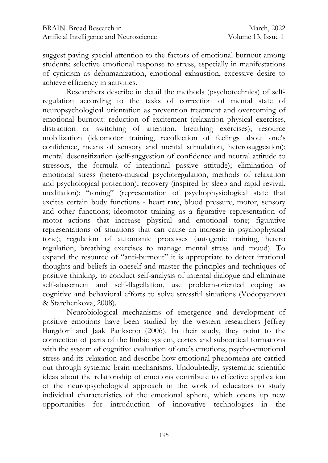suggest paying special attention to the factors of emotional burnout among students: selective emotional response to stress, especially in manifestations of cynicism as dehumanization, emotional exhaustion, excessive desire to achieve efficiency in activities.

Researchers describe in detail the methods (psychotechnics) of selfregulation according to the tasks of correction of mental state of neuropsychological orientation as prevention treatment and overcoming of emotional burnout: reduction of excitement (relaxation physical exercises, distraction or switching of attention, breathing exercises); resource mobilization (ideomotor training, recollection of feelings about one's confidence, means of sensory and mental stimulation, heterosuggestion); mental desensitization (self-suggestion of confidence and neutral attitude to stressors, the formula of intentional passive attitude); elimination of emotional stress (hetero-musical psychoregulation, methods of relaxation and psychological protection); recovery (inspired by sleep and rapid revival, meditation); "toning" (representation of psychophysiological state that excites certain body functions - heart rate, blood pressure, motor, sensory and other functions; ideomotor training as a figurative representation of motor actions that increase physical and emotional tone; figurative representations of situations that can cause an increase in psychophysical tone); regulation of autonomic processes (autogenic training, hetero regulation, breathing exercises to manage mental stress and mood). To expand the resource of "anti-burnout" it is appropriate to detect irrational thoughts and beliefs in oneself and master the principles and techniques of positive thinking, to conduct self-analysis of internal dialogue and eliminate self-abasement and self-flagellation, use problem-oriented coping as cognitive and behavioral efforts to solve stressful situations (Vodopyanova & Starchenkova, 2008).

Neurobiological mechanisms of emergence and development of positive emotions have been studied by the western researchers Jeffrey Burgdorf and Jaak Panksepp (2006). In their study, they point to the connection of parts of the limbic system, cortex and subcortical formations with the system of cognitive evaluation of one's emotions, psycho-emotional stress and its relaxation and describe how emotional phenomena are carried out through systemic brain mechanisms. Undoubtedly, systematic scientific ideas about the relationship of emotions contribute to effective application of the neuropsychological approach in the work of educators to study individual characteristics of the emotional sphere, which opens up new opportunities for introduction of innovative technologies in the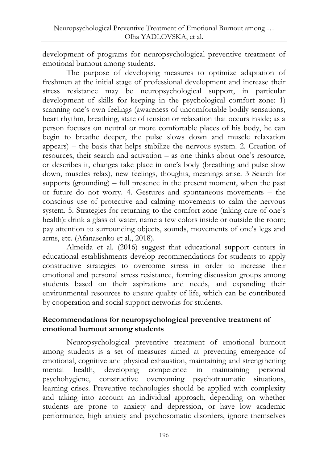development of programs for neuropsychological preventive treatment of emotional burnout among students.

The purpose of developing measures to optimize adaptation of freshmen at the initial stage of professional development and increase their stress resistance may be neuropsychological support, in particular development of skills for keeping in the psychological comfort zone: 1) scanning one's own feelings (awareness of uncomfortable bodily sensations, heart rhythm, breathing, state of tension or relaxation that occurs inside; as a person focuses on neutral or more comfortable places of his body, he can begin to breathe deeper, the pulse slows down and muscle relaxation appears) – the basis that helps stabilize the nervous system. 2. Creation of resources, their search and activation – as one thinks about one's resource, or describes it, changes take place in one's body (breathing and pulse slow down, muscles relax), new feelings, thoughts, meanings arise. 3 Search for supports (grounding) – full presence in the present moment, when the past or future do not worry. 4. Gestures and spontaneous movements – the conscious use of protective and calming movements to calm the nervous system. 5. Strategies for returning to the comfort zone (taking care of one's health): drink a glass of water, name a few colors inside or outside the room; pay attention to surrounding objects, sounds, movements of one's legs and arms, etc. (Afanasenko et al., 2018).

Almeida et al. (2016) suggest that educational support centers in educational establishments develop recommendations for students to apply constructive strategies to overcome stress in order to increase their emotional and personal stress resistance, forming discussion groups among students based on their aspirations and needs, and expanding their environmental resources to ensure quality of life, which can be contributed by cooperation and social support networks for students.

#### **Recommendations for neuropsychological preventive treatment of emotional burnout among students**

Neuropsychological preventive treatment of emotional burnout among students is a set of measures aimed at preventing emergence of emotional, cognitive and physical exhaustion, maintaining and strengthening mental health, developing competence in maintaining personal psychohygiene, constructive overcoming psychotraumatic situations, learning crises. Preventive technologies should be applied with complexity and taking into account an individual approach, depending on whether students are prone to anxiety and depression, or have low academic performance, high anxiety and psychosomatic disorders, ignore themselves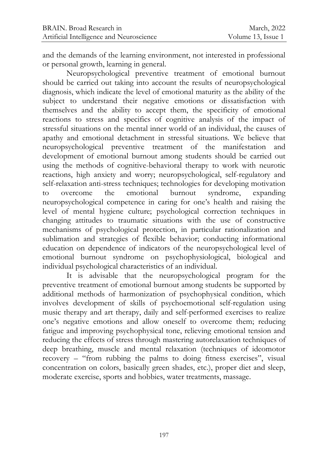and the demands of the learning environment, not interested in professional or personal growth, learning in general.

Neuropsychological preventive treatment of emotional burnout should be carried out taking into account the results of neuropsychological diagnosis, which indicate the level of emotional maturity as the ability of the subject to understand their negative emotions or dissatisfaction with themselves and the ability to accept them, the specificity of emotional reactions to stress and specifics of cognitive analysis of the impact of stressful situations on the mental inner world of an individual, the causes of apathy and emotional detachment in stressful situations. We believe that neuropsychological preventive treatment of the manifestation and development of emotional burnout among students should be carried out using the methods of cognitive-behavioral therapy to work with neurotic reactions, high anxiety and worry; neuropsychological, self-regulatory and self-relaxation anti-stress techniques; technologies for developing motivation<br>to overcome the emotional burnout syndrome, expanding to overcome the emotional burnout syndrome, expanding neuropsychological competence in caring for one's health and raising the level of mental hygiene culture; psychological correction techniques in changing attitudes to traumatic situations with the use of constructive mechanisms of psychological protection, in particular rationalization and sublimation and strategies of flexible behavior; conducting informational education on dependence of indicators of the neuropsychological level of emotional burnout syndrome on psychophysiological, biological and individual psychological characteristics of an individual.

It is advisable that the neuropsychological program for the preventive treatment of emotional burnout among students be supported by additional methods of harmonization of psychophysical condition, which involves development of skills of psychoemotional self-regulation using music therapy and art therapy, daily and self-performed exercises to realize one's negative emotions and allow oneself to overcome them; reducing fatigue and improving psychophysical tone, relieving emotional tension and reducing the effects of stress through mastering autorelaxation techniques of deep breathing, muscle and mental relaxation (techniques of ideomotor recovery – "from rubbing the palms to doing fitness exercises", visual concentration on colors, basically green shades, etc.), proper diet and sleep, moderate exercise, sports and hobbies, water treatments, massage.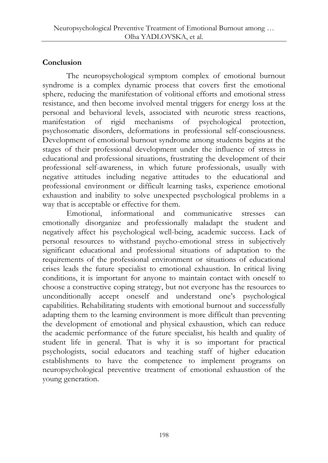## **Conclusion**

The neuropsychological symptom complex of emotional burnout syndrome is a complex dynamic process that covers first the emotional sphere, reducing the manifestation of volitional efforts and emotional stress resistance, and then become involved mental triggers for energy loss at the personal and behavioral levels, associated with neurotic stress reactions, manifestation of rigid mechanisms of psychological protection, psychosomatic disorders, deformations in professional self-consciousness. Development of emotional burnout syndrome among students begins at the stages of their professional development under the influence of stress in educational and professional situations, frustrating the development of their professional self-awareness, in which future professionals, usually with negative attitudes including negative attitudes to the educational and professional environment or difficult learning tasks, experience emotional exhaustion and inability to solve unexpected psychological problems in a way that is acceptable or effective for them.

Emotional, informational and communicative stresses can emotionally disorganize and professionally maladapt the student and negatively affect his psychological well-being, academic success. Lack of personal resources to withstand psycho-emotional stress in subjectively significant educational and professional situations of adaptation to the requirements of the professional environment or situations of educational crises leads the future specialist to emotional exhaustion. In critical living conditions, it is important for anyone to maintain contact with oneself to choose a constructive coping strategy, but not everyone has the resources to unconditionally accept oneself and understand one's psychological capabilities. Rehabilitating students with emotional burnout and successfully adapting them to the learning environment is more difficult than preventing the development of emotional and physical exhaustion, which can reduce the academic performance of the future specialist, his health and quality of student life in general. That is why it is so important for practical psychologists, social educators and teaching staff of higher education establishments to have the competence to implement programs on neuropsychological preventive treatment of emotional exhaustion of the young generation.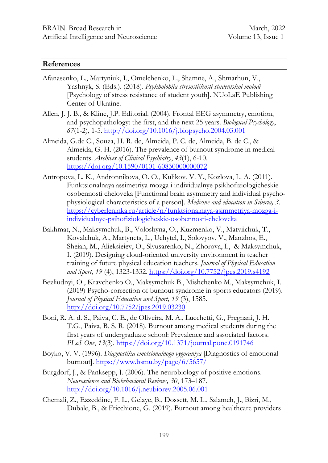#### **References**

- Afanasenko, L., Martyniuk, I., Omelchenko, L., Shamne, A., Shmarhun, V., Yashnyk, S. (Eds.). (2018). *Psykholohiia stresostiikosti studentskoi molodi* [Psychology of stress resistance of student youth]. NUoLaE Publishing Center of Ukraine.
- Allen, J. J. B., & Kline, J.P. Editorial. (2004). Frontal EEG asymmetry, emotion, and psychopathology: the first, and the next 25 years. *Biological Psychology*, *67*(1-2)*,* 1-5.<http://doi.org/10.1016/j.biopsycho.2004.03.001>
- Almeida, G.de C., Souza, H. R. de, Almeida, P. C. de, Almeida, B. de C., & Almeida, G. H. (2016). The prevalence of burnout syndrome in medical students. *Archives of Clinical Psychiatry*, *43*(1), 6-10. <https://doi.org/10.1590/0101-60830000000072>
- Antropova, L. K., Andronnikova, O. O., Kulikov, V. Y., Kozlova, L. A. (2011). Funktsionalnaya assimetriya mozga i individualnye psikhofiziologicheskie osobennosti cheloveka [Functional brain asymmetry and individual psychophysiological characteristics of a person]. *Medicine and education in Siberia, 3*. [https://cyberleninka.ru/article/n/funktsionalnaya-asimmetriya-mozga-i](https://cyberleninka.ru/article/n/funktsionalnaya-asimmetriya-mozga-i-individualnye-psihofiziologicheskie-osobennosti-cheloveka)[individualnye-psihofiziologicheskie-osobennosti-cheloveka](https://cyberleninka.ru/article/n/funktsionalnaya-asimmetriya-mozga-i-individualnye-psihofiziologicheskie-osobennosti-cheloveka)
- Bakhmat, N., Maksymchuk, B., Voloshyna, O., Kuzmenko, V., Matviichuk, T., Kovalchuk, A., Martynets, L., Uchytel, I., Solovyov, V., Manzhos, E., Sheian, M., Alieksieiev, O., Slyusarenko, N., Zhorova, I., & Maksymchuk, I. (2019). Designing cloud-oriented university environment in teacher training of future physical education teachers. *Journal of Physical Education and Sport*, *19* (4), 1323-1332.<https://doi.org/10.7752/jpes.2019.s4192>
- Bezliudnyi, O., Kravchenko O., Maksymchuk B., Mishchenko M., Maksymchuk, I. (2019) Psycho-correction of burnout syndrome in sports educators (2019). *Journal of Physical Education and Sport, 19* (3), 1585. <http://doi.org/10.7752/jpes.2019.03230>
- Boni, R. A. d. S., Paiva, C. E., de Oliveira, M. A., Lucchetti, G., Fregnani, J. H. T.G., Paiva, B. S. R. (2018). Burnout among medical students during the first years of undergraduate school: Prevalence and associated factors. *PLoS One*, *13*(3).<https://doi.org/10.1371/journal.pone.0191746>
- Boyko, V. V. (1996). *Diagnostika emotsionalnogo vygoraniya* [Diagnostics of emotional burnout].<https://www.bsmu.by/page/6/5657/>
- Burgdorf, J., & Panksepp, J. (2006). The neurobiology of positive emotions. *Neuroscience and Biobehavioral Reviews, 30*, 173–187. <http://doi.org/10.1016/j.neubiorev.2005.06.001>
- Chemali, Z., Ezzeddine, F. L., Gelaye, B., Dossett, M. L., Salameh, J., Bizri, M., Dubale, B., & Fricchione, G. (2019). Burnout among healthcare providers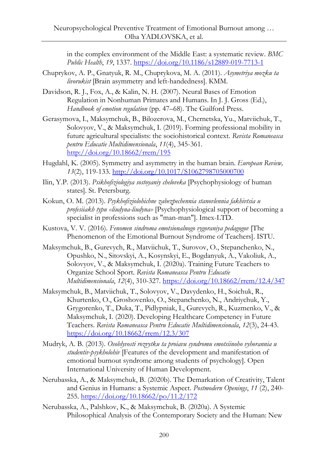in the complex environment of the Middle East: a systematic review. *BMC Public Health*, *19*, 1337.<https://doi.org/10.1186/s12889-019-7713-1>

- Chuprykov, A. P., Gnatyuk, R. M., Chuprykova, M. A. (2011). *Asymetriya mozku ta livorukist* [Brain asymmetry and left-handedness]. КММ.
- Davidson, R. J., Fox, A., & Kalin, N. H. (2007). Neural Bases of Emotion Regulation in Nonhuman Primates and Humans. In J. J. Gross (Ed.), *Handbook of emotion regulation* (pp. 47–68). The Guilford Press.
- Gerasymova, I., Maksymchuk, B., Bilozerova, M., Chernetska, Yu., Matviichuk, T., Solovyov, V., & Maksymchuk, I. (2019). Forming professional mobility in future agricultural specialists: the sociohistorical context. *Revista Romaneasca pentru Educatie Multidimensionala*, *11*(4), 345-361. <http://doi.org/10.18662/rrem/195>
- Hugdahl, K. (2005). Symmetry and asymmetry in the human brain. *European Review, 13*(2), 119-133.<http://doi.org/10.1017/S1062798705000700>
- Ilin, Y.P. (2013). *Psikhofiziologiya sostoyaniy cheloveka* [Psychophysiology of human states]. St. Petersburg.
- Kokun, O. M. (2013). *Psykhofiziolohichne zabezpechennia stanovlennia fakhivtsia u profesiiakh typu «liudyna-liudyna»* [Psychophysiological support of becoming a specialist in professions such as "man-man"]. Imex-LTD.
- Kustova, V. V. (2016). *Fenomen sindroma emotsionalnogo vygoraniya pedagogov* [The Phenomenon of the Emotional Burnout Syndrome of Teachers]. ISTU.
- Maksymchuk, B., Gurevych, R., Matviichuk, T., Surovov, O., Stepanchenko, N., Opushko, N., Sitovskyi, A., Kosynskyi, E., Bogdanyuk, A., Vakoliuk, A., Solovyov, V., & Maksymchuk, I. (2020a). Training Future Teachers to Organize School Sport. *Revista Romaneasca Pentru Educatie Multidimensionala*, *12*(4), 310-327.<https://doi.org/10.18662/rrem/12.4/347>
- Maksymchuk, B., Matviichuk, T., Solovyov, V., Davydenko, H., Soichuk, R., Khurtenko, O., Groshovenko, O., Stepanchenko, N., Andriychuk, Y., Grygorenko, T., Duka, T., Pidlypniak, I., Gurevych, R., Kuzmenko, V., & Maksymchuk, I. (2020). Developing Healthcare Competency in Future Teachers. *Revista Romaneasca Pentru Educatie Multidimensionala*, *12*(3), 24-43. <https://doi.org/10.18662/rrem/12.3/307>
- Mudryk, A. B. (2013). *Osoblyvosti rozvytku ta proiavu syndromu emotsiinoho vyhorannia u studentiv-psykholohiv* [Features of the development and manifestation of emotional burnout syndrome among students of psychology]. Open International University of Human Development.
- Nerubasska, A., & Maksymchuk, B. (2020b). The Demarkation of Creativity, Talent and Genius in Humans: a Systemic Aspect. *Postmodern Openings*, *11* (2), 240- 255.<https://doi.org/10.18662/po/11.2/172>
- Nerubasska, A., Palshkov, K., & Maksymchuk, B. (2020a). A Systemic Philosophical Analysis of the Contemporary Society and the Human: New